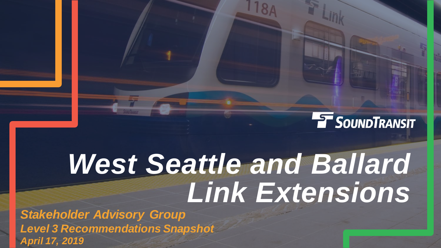

# *West Seattle and Ballard Link Extensions*

*Stakeholder Advisory Group Level 3 Recommendations Snapshot April 17, 2019*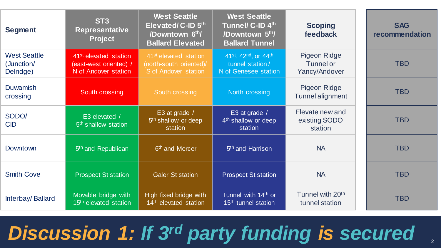| <b>Segment</b>                                 | ST <sub>3</sub><br><b>Representative</b><br><b>Project</b>                          | <b>West Seattle</b><br>Elevated/ C-ID 5th<br>/Downtown 6 <sup>th</sup> /<br><b>Ballard Elevated</b> | <b>West Seattle</b><br>Tunnel/ C-ID 4th<br>/Downtown 5th/<br><b>Ballard Tunnel</b>       | <b>Scoping</b><br>feedback                     | <b>SAG</b><br>recommendation |
|------------------------------------------------|-------------------------------------------------------------------------------------|-----------------------------------------------------------------------------------------------------|------------------------------------------------------------------------------------------|------------------------------------------------|------------------------------|
| <b>West Seattle</b><br>(Junction/<br>Delridge) | 41 <sup>st</sup> elevated station<br>(east-west oriented) /<br>N of Andover station | 41 <sup>st</sup> elevated station<br>(north-south oriented)/<br>S of Andover station                | 41st, 42 <sup>nd</sup> , or 44 <sup>th</sup><br>tunnel station /<br>N of Genesee station | Pigeon Ridge<br>Tunnel or<br>Yancy/Andover     | <b>TBD</b>                   |
| <b>Duwamish</b><br>crossing                    | South crossing                                                                      | South crossing                                                                                      | North crossing                                                                           | Pigeon Ridge<br>Tunnel alignment               | <b>TBD</b>                   |
| SODO/<br><b>CID</b>                            | E3 elevated /<br>5 <sup>th</sup> shallow station                                    | E3 at grade /<br>5 <sup>th</sup> shallow or deep<br>station                                         | E3 at grade /<br>4 <sup>th</sup> shallow or deep<br>station                              | Elevate new and<br>existing SODO<br>station    | <b>TBD</b>                   |
| Downtown                                       | 5 <sup>th</sup> and Republican                                                      | 6 <sup>th</sup> and Mercer                                                                          | 5 <sup>th</sup> and Harrison                                                             | <b>NA</b>                                      | <b>TBD</b>                   |
| <b>Smith Cove</b>                              | <b>Prospect St station</b>                                                          | <b>Galer St station</b>                                                                             | <b>Prospect St station</b>                                                               | <b>NA</b>                                      | <b>TBD</b>                   |
| Interbay/Ballard                               | Movable bridge with<br>15 <sup>th</sup> elevated station                            | High fixed bridge with<br>14 <sup>th</sup> elevated station                                         | Tunnel with 14th or<br>15 <sup>th</sup> tunnel station                                   | Tunnel with 20 <sup>th</sup><br>tunnel station | <b>TBD</b>                   |

#### *Discussion 1: If 3<sup>rd</sup> party funding is secured***,**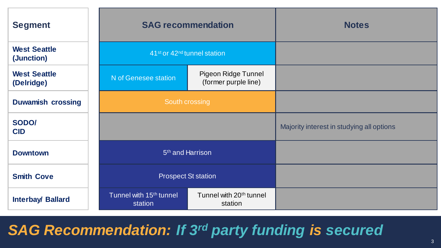| <b>Segment</b>                    | <b>SAG recommendation</b>                                           |                                                     | <b>Notes</b>                              |
|-----------------------------------|---------------------------------------------------------------------|-----------------------------------------------------|-------------------------------------------|
| <b>West Seattle</b><br>(Junction) |                                                                     | 41 <sup>st</sup> or 42 <sup>nd</sup> tunnel station |                                           |
| <b>West Seattle</b><br>(Delridge) | Pigeon Ridge Tunnel<br>N of Genesee station<br>(former purple line) |                                                     |                                           |
| <b>Duwamish crossing</b>          |                                                                     | South crossing                                      |                                           |
| SODO/<br><b>CID</b>               |                                                                     |                                                     | Majority interest in studying all options |
| <b>Downtown</b>                   |                                                                     | 5 <sup>th</sup> and Harrison                        |                                           |
| <b>Smith Cove</b>                 |                                                                     | <b>Prospect St station</b>                          |                                           |
| <b>Interbay/ Ballard</b>          | Tunnel with 15 <sup>th</sup> tunnel<br>station                      | Tunnel with 20 <sup>th</sup> tunnel<br>station      |                                           |

#### *SAG Recommendation: If 3rd party funding is secured*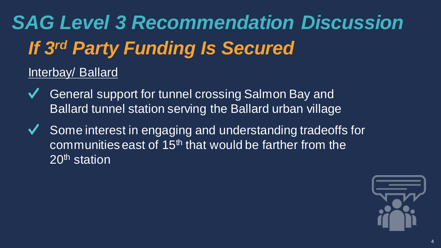### Interbay/ Ballard *SAG Level 3 Recommendation Discussion If 3rd Party Funding Is Secured*

- General support for tunnel crossing Salmon Bay and Ballard tunnel station serving the Ballard urban village
- Some interest in engaging and understanding tradeoffs for  $\blacktriangledown$ communities east of  $15<sup>th</sup>$  that would be farther from the  $20<sup>th</sup>$  station

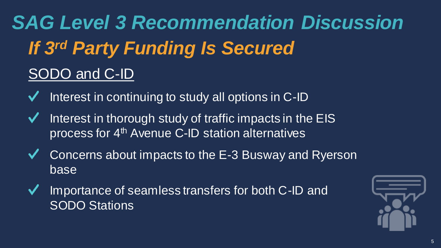## SODO and C-ID *SAG Level 3 Recommendation Discussion If 3rd Party Funding Is Secured*

- Interest in continuing to study all options in C-ID
- Interest in thorough study of traffic impacts in the EIS process for 4<sup>th</sup> Avenue C-ID station alternatives
- Concerns about impacts to the E-3 Busway and Ryerson base
- Importance of seamless transfers for both C-ID and SODO Stations

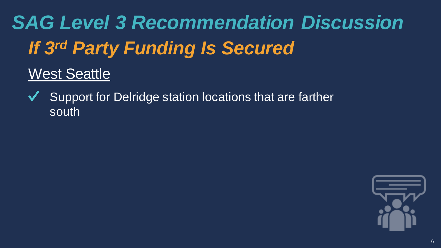### West Seattle *SAG Level 3 Recommendation Discussion If 3rd Party Funding Is Secured*

Support for Delridge station locations that are farther south

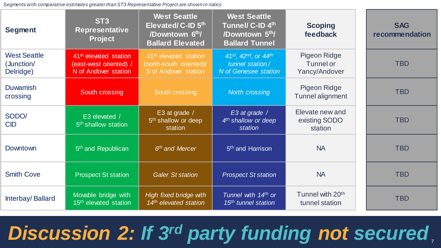*Segments with comparative estimates greater than ST3 Representative Project are shown in italics*

| <b>Segment</b>                                 | ST <sub>3</sub><br><b>Representative</b><br><b>Project</b>                          | <b>West Seattle</b><br>Elevated/C-ID 5th<br>/Downtown 6 <sup>th</sup> /<br><b>Ballard Elevated</b> | <b>West Seattle</b><br>Tunnel/ C-ID 4th<br>/Downtown 5th/<br><b>Ballard Tunnel</b>             | <b>Scoping</b><br>feedback                        | <b>SAG</b><br>recommendation |
|------------------------------------------------|-------------------------------------------------------------------------------------|----------------------------------------------------------------------------------------------------|------------------------------------------------------------------------------------------------|---------------------------------------------------|------------------------------|
| <b>West Seattle</b><br>(Junction/<br>Delridge) | 41 <sup>st</sup> elevated station<br>(east-west oriented) /<br>N of Andover station | 41 <sup>st</sup> elevated station<br>(north-south oriented)/<br>S of Andover station               | 41st, 42 <sup>nd</sup> , or 44 <sup>th</sup><br>tunnel station/<br><b>N</b> of Genesee station | Pigeon Ridge<br><b>Tunnel or</b><br>Yancy/Andover | <b>TBD</b>                   |
| <b>Duwamish</b><br>crossing                    | South crossing                                                                      | South crossing                                                                                     | North crossing                                                                                 | Pigeon Ridge<br>Tunnel alignment                  | <b>TBD</b>                   |
| SODO/<br><b>CID</b>                            | E3 elevated /<br>5 <sup>th</sup> shallow station                                    | E3 at grade /<br>5 <sup>th</sup> shallow or deep<br>station                                        | E3 at grade /<br>4 <sup>th</sup> shallow or deep<br>station                                    | Elevate new and<br>existing SODO<br>station       | <b>TBD</b>                   |
| <b>Downtown</b>                                | 5 <sup>th</sup> and Republican                                                      | 6 <sup>th</sup> and Mercer                                                                         | 5 <sup>th</sup> and Harrison                                                                   | <b>NA</b>                                         | <b>TBD</b>                   |
| <b>Smith Cove</b>                              | <b>Prospect St station</b>                                                          | <b>Galer St station</b>                                                                            | <b>Prospect St station</b>                                                                     | <b>NA</b>                                         | <b>TBD</b>                   |
| Interbay/Ballard                               | Movable bridge with<br>15 <sup>th</sup> elevated station                            | High fixed bridge with<br>14 <sup>th</sup> elevated station                                        | Tunnel with 14th or<br>15 <sup>th</sup> tunnel station                                         | Tunnel with 20 <sup>th</sup><br>tunnel station    | TBD                          |

*Discussion 2: If 3<sup>rd</sup> party funding not secured,*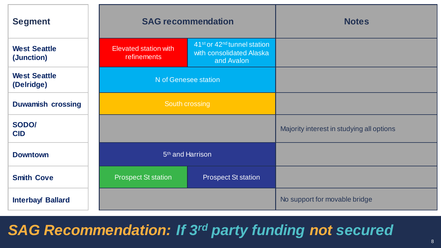| <b>Segment</b>                    |                                             | <b>SAG recommendation</b>                                                                     | <b>Notes</b>                              |
|-----------------------------------|---------------------------------------------|-----------------------------------------------------------------------------------------------|-------------------------------------------|
| <b>West Seattle</b><br>(Junction) | <b>Elevated station with</b><br>refinements | 41 <sup>st</sup> or 42 <sup>nd</sup> tunnel station<br>with consolidated Alaska<br>and Avalon |                                           |
| <b>West Seattle</b><br>(Delridge) |                                             | N of Genesee station                                                                          |                                           |
| <b>Duwamish crossing</b>          |                                             | South crossing                                                                                |                                           |
| SODO/<br><b>CID</b>               |                                             |                                                                                               | Majority interest in studying all options |
| <b>Downtown</b>                   |                                             | 5 <sup>th</sup> and Harrison                                                                  |                                           |
| <b>Smith Cove</b>                 | <b>Prospect St station</b>                  | <b>Prospect St station</b>                                                                    |                                           |
| <b>Interbay/ Ballard</b>          |                                             |                                                                                               | No support for movable bridge             |

#### *SAG Recommendation: If 3rd party funding not secured*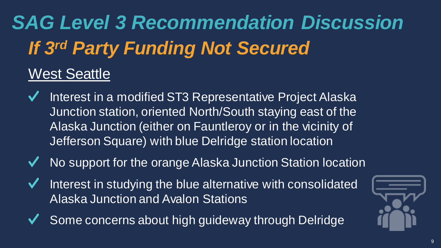## West Seattle *SAG Level 3 Recommendation Discussion If 3rd Party Funding Not Secured*

- Interest in a modified ST3 Representative Project Alaska Junction station, oriented North/South staying east of the Alaska Junction (either on Fauntleroy or in the vicinity of Jefferson Square) with blue Delridge station location
- No support for the orange Alaska Junction Station location
- Interest in studying the blue alternative with consolidated Alaska Junction and Avalon Stations
- Some concerns about high guideway through Delridge

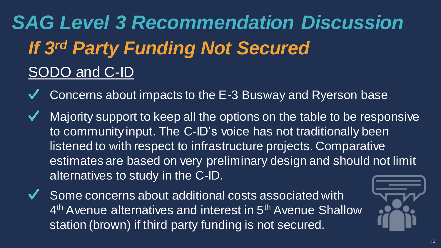### SODO and C-ID *SAG Level 3 Recommendation Discussion If 3rd Party Funding Not Secured*

Concerns about impacts to the E-3 Busway and Ryerson base

- Majority support to keep all the options on the table to be responsive  $\blacktriangledown$ to community input. The C-ID's voice has not traditionally been listened to with respect to infrastructure projects. Comparative estimates are based on very preliminary design and should not limit alternatives to study in the C-ID.
- Some concerns about additional costs associated with 4<sup>th</sup> Avenue alternatives and interest in 5<sup>th</sup> Avenue Shallow station (brown) if third party funding is not secured.

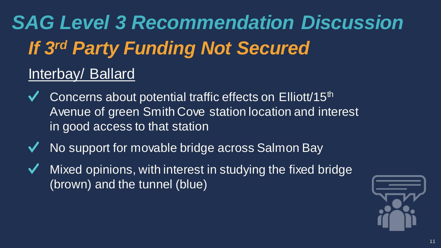## Interbay/ Ballard *SAG Level 3 Recommendation Discussion If 3rd Party Funding Not Secured*

- Concerns about potential traffic effects on Elliott/15<sup>th</sup> Avenue of green Smith Cove station location and interest in good access to that station
- No support for movable bridge across Salmon Bay
- Mixed opinions, with interest in studying the fixed bridge (brown) and the tunnel (blue)

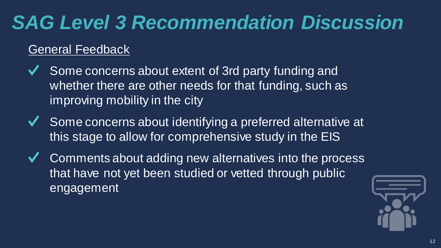#### *SAG Level 3 Recommendation Discussion*

#### General Feedback

- Some concerns about extent of 3rd party funding and whether there are other needs for that funding, such as improving mobility in the city
- Some concerns about identifying a preferred alternative at this stage to allow for comprehensive study in the EIS
- Comments about adding new alternatives into the process that have not yet been studied or vetted through public engagement